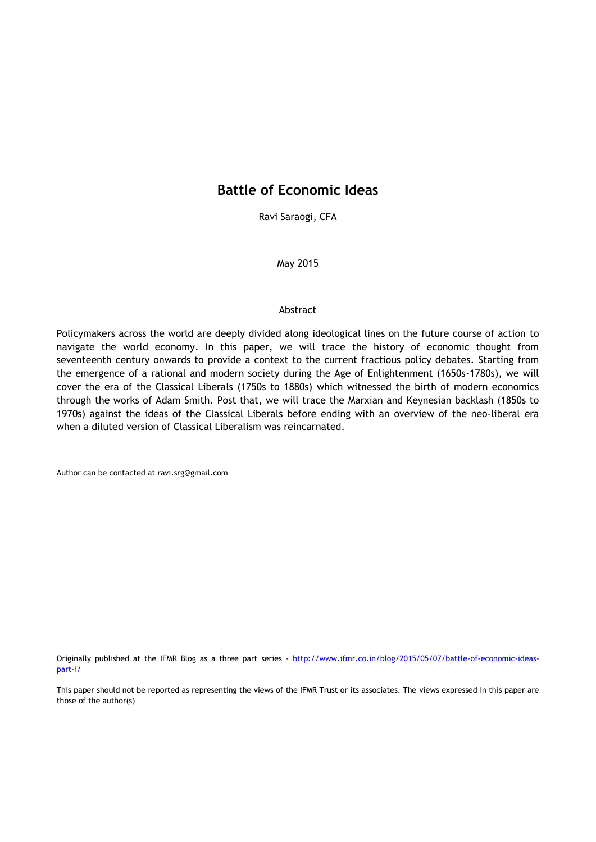# **Battle of Economic Ideas**

Ravi Saraogi, CFA

May 2015

#### Abstract

Policymakers across the world are deeply divided along ideological lines on the future course of action to navigate the world economy. In this paper, we will trace the history of economic thought from seventeenth century onwards to provide a context to the current fractious policy debates. Starting from the emergence of a rational and modern society during the Age of Enlightenment (1650s-1780s), we will cover the era of the Classical Liberals (1750s to 1880s) which witnessed the birth of modern economics through the works of Adam Smith. Post that, we will trace the Marxian and Keynesian backlash (1850s to 1970s) against the ideas of the Classical Liberals before ending with an overview of the neo-liberal era when a diluted version of Classical Liberalism was reincarnated.

Author can be contacted at ravi.srg@gmail.com

Originally published at the IFMR Blog as a three part series - [http://www.ifmr.co.in/blog/2015/05/07/battle-of-economic-ideas](http://www.ifmr.co.in/blog/2015/05/07/battle-of-economic-ideas-part-i/)[part-i/](http://www.ifmr.co.in/blog/2015/05/07/battle-of-economic-ideas-part-i/)

This paper should not be reported as representing the views of the IFMR Trust or its associates. The views expressed in this paper are those of the author(s)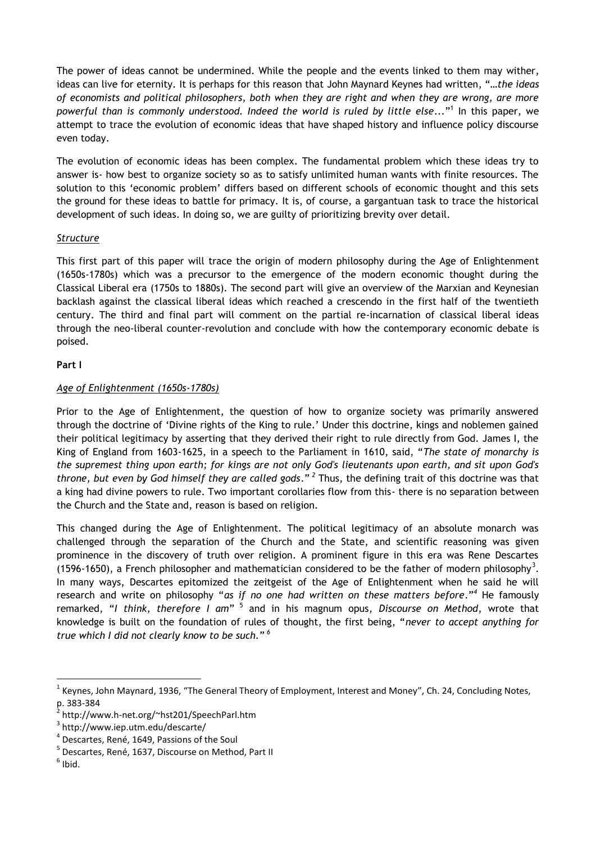The power of ideas cannot be undermined. While the people and the events linked to them may wither, ideas can live for eternity. It is perhaps for this reason that John Maynard Keynes had written, "*…the ideas of economists and political philosophers, both when they are right and when they are wrong, are more powerful than is commonly understood. Indeed the world is ruled by little else...*" 1 In this paper, we attempt to trace the evolution of economic ideas that have shaped history and influence policy discourse even today.

The evolution of economic ideas has been complex. The fundamental problem which these ideas try to answer is- how best to organize society so as to satisfy unlimited human wants with finite resources. The solution to this 'economic problem' differs based on different schools of economic thought and this sets the ground for these ideas to battle for primacy. It is, of course, a gargantuan task to trace the historical development of such ideas. In doing so, we are guilty of prioritizing brevity over detail.

### *Structure*

This first part of this paper will trace the origin of modern philosophy during the Age of Enlightenment (1650s-1780s) which was a precursor to the emergence of the modern economic thought during the Classical Liberal era (1750s to 1880s). The second part will give an overview of the Marxian and Keynesian backlash against the classical liberal ideas which reached a crescendo in the first half of the twentieth century. The third and final part will comment on the partial re-incarnation of classical liberal ideas through the neo-liberal counter-revolution and conclude with how the contemporary economic debate is poised.

### **Part I**

# *Age of Enlightenment (1650s-1780s)*

Prior to the Age of Enlightenment, the question of how to organize society was primarily answered through the doctrine of 'Divine rights of the King to rule.' Under this doctrine, kings and noblemen gained their political legitimacy by asserting that they derived their right to rule directly from God. James I, the King of England from 1603-1625, in a speech to the Parliament in 1610, said, "*The state of monarchy is the supremest thing upon earth; for kings are not only God's lieutenants upon earth, and sit upon God's throne, but even by God himself they are called gods*." *<sup>2</sup>* Thus, the defining trait of this doctrine was that a king had divine powers to rule. Two important corollaries flow from this- there is no separation between the Church and the State and, reason is based on religion.

This changed during the Age of Enlightenment. The political legitimacy of an absolute monarch was challenged through the separation of the Church and the State, and scientific reasoning was given prominence in the discovery of truth over religion. A prominent figure in this era was Rene Descartes (1596-1650), a French philosopher and mathematician considered to be the father of modern philosophy<sup>3</sup>. In many ways, Descartes epitomized the zeitgeist of the Age of Enlightenment when he said he will research and write on philosophy "*as if no one had written on these matters before*."*<sup>4</sup>* He famously remarked, "*I think, therefore I am*" 5 and in his magnum opus, *Discourse on Method*, wrote that knowledge is built on the foundation of rules of thought, the first being, "*never to accept anything for true which I did not clearly know to be such.*" *6*

 $\overline{a}$ 

<sup>&</sup>lt;sup>1</sup> Keynes, John Maynard, 1936, "The General Theory of Employment, Interest and Money", Ch. 24, Concluding Notes, p. 383-384

<sup>&</sup>lt;sup>2</sup> http://www.h-net.org/~hst201/SpeechParl.htm

<sup>3</sup> http://www.iep.utm.edu/descarte/

<sup>4</sup> Descartes, René, 1649, Passions of the Soul

<sup>&</sup>lt;sup>5</sup> Descartes, René, 1637, Discourse on Method, Part II

 $<sup>6</sup>$  Ibid.</sup>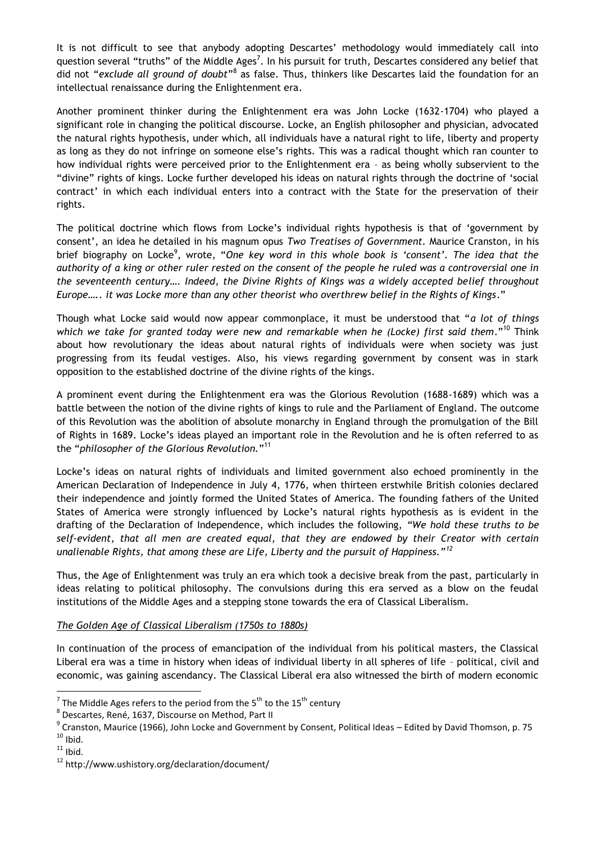It is not difficult to see that anybody adopting Descartes' methodology would immediately call into question several "truths" of the Middle Ages<sup>7</sup>. In his pursuit for truth, Descartes considered any belief that did not "exclude all ground of doubt"<sup>8</sup> as false. Thus, thinkers like Descartes laid the foundation for an intellectual renaissance during the Enlightenment era.

Another prominent thinker during the Enlightenment era was John Locke (1632-1704) who played a significant role in changing the political discourse. Locke, an English philosopher and physician, advocated the natural rights hypothesis, under which, all individuals have a natural right to life, liberty and property as long as they do not infringe on someone else's rights. This was a radical thought which ran counter to how individual rights were perceived prior to the Enlightenment era – as being wholly subservient to the "divine" rights of kings. Locke further developed his ideas on natural rights through the doctrine of 'social contract' in which each individual enters into a contract with the State for the preservation of their rights.

The political doctrine which flows from Locke's individual rights hypothesis is that of 'government by consent', an idea he detailed in his magnum opus *Two Treatises of Government.* Maurice Cranston, in his brief biography on Locke<sup>9</sup>, wrote, "One key word in this whole book is 'consent'. The idea that the *authority of a king or other ruler rested on the consent of the people he ruled was a controversial one in the seventeenth century…. Indeed, the Divine Rights of Kings was a widely accepted belief throughout Europe….. it was Locke more than any other theorist who overthrew belief in the Rights of Kings*."

Though what Locke said would now appear commonplace, it must be understood that "*a lot of things which we take for granted today were new and remarkable when he (Locke) first said them*."<sup>10</sup> Think about how revolutionary the ideas about natural rights of individuals were when society was just progressing from its feudal vestiges. Also, his views regarding government by consent was in stark opposition to the established doctrine of the divine rights of the kings.

A prominent event during the Enlightenment era was the Glorious Revolution (1688-1689) which was a battle between the notion of the divine rights of kings to rule and the Parliament of England. The outcome of this Revolution was the abolition of absolute monarchy in England through the promulgation of the Bill of Rights in 1689. Locke's ideas played an important role in the Revolution and he is often referred to as the "*philosopher of the Glorious Revolution.*" 11

Locke's ideas on natural rights of individuals and limited government also echoed prominently in the American Declaration of Independence in July 4, 1776, when thirteen erstwhile British colonies declared their independence and jointly formed the United States of America. The founding fathers of the United States of America were strongly influenced by Locke's natural rights hypothesis as is evident in the drafting of the Declaration of Independence, which includes the following, *"We hold these truths to be self-evident, that all men are created equal, that they are endowed by their Creator with certain unalienable Rights, that among these are Life, Liberty and the pursuit of Happiness."<sup>12</sup>*

Thus, the Age of Enlightenment was truly an era which took a decisive break from the past, particularly in ideas relating to political philosophy. The convulsions during this era served as a blow on the feudal institutions of the Middle Ages and a stepping stone towards the era of Classical Liberalism.

### *The Golden Age of Classical Liberalism (1750s to 1880s)*

In continuation of the process of emancipation of the individual from his political masters, the Classical Liberal era was a time in history when ideas of individual liberty in all spheres of life – political, civil and economic, was gaining ascendancy. The Classical Liberal era also witnessed the birth of modern economic

**<sup>.</sup>** <sup>7</sup> The Middle Ages refers to the period from the 5<sup>th</sup> to the 15<sup>th</sup> century

<sup>&</sup>lt;sup>8</sup> Descartes, René, 1637, Discourse on Method, Part II

<sup>&</sup>lt;sup>9</sup> Cranston, Maurice (1966), John Locke and Government by Consent, Political Ideas – Edited by David Thomson, p. 75  $10$  Ibid.

 $11$  Ibid.

<sup>12</sup> http://www.ushistory.org/declaration/document/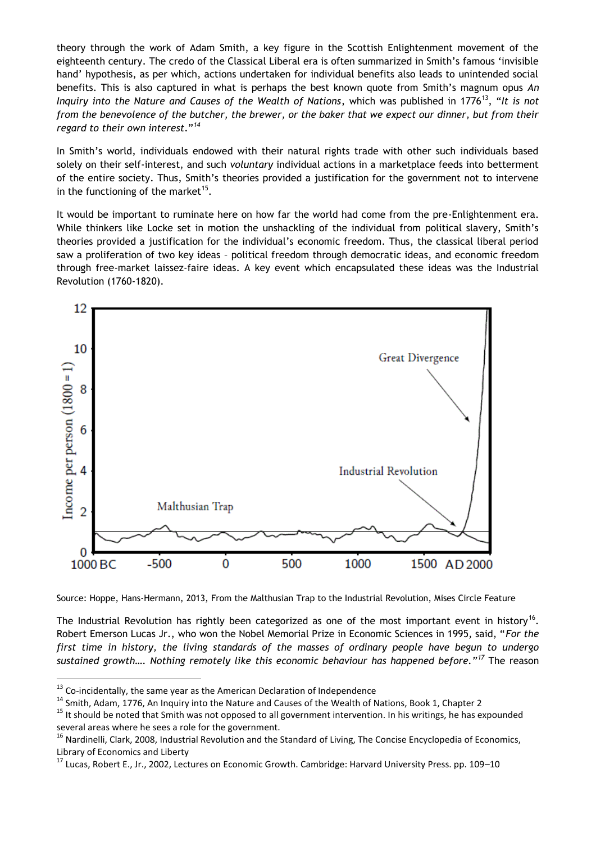theory through the work of Adam Smith, a key figure in the Scottish Enlightenment movement of the eighteenth century. The credo of the Classical Liberal era is often summarized in Smith's famous 'invisible hand' hypothesis, as per which, actions undertaken for individual benefits also leads to unintended social benefits. This is also captured in what is perhaps the best known quote from Smith's magnum opus *An Inquiry into the Nature and Causes of the Wealth of Nations, which was published in 1776<sup>13</sup>, "<i>It is not from the benevolence of the butcher, the brewer, or the baker that we expect our dinner, but from their regard to their own interest*."*<sup>14</sup>*

In Smith's world, individuals endowed with their natural rights trade with other such individuals based solely on their self-interest, and such *voluntary* individual actions in a marketplace feeds into betterment of the entire society. Thus, Smith's theories provided a justification for the government not to intervene in the functioning of the market<sup>15</sup>.

It would be important to ruminate here on how far the world had come from the pre-Enlightenment era. While thinkers like Locke set in motion the unshackling of the individual from political slavery, Smith's theories provided a justification for the individual's economic freedom. Thus, the classical liberal period saw a proliferation of two key ideas – political freedom through democratic ideas, and economic freedom through free-market laissez-faire ideas. A key event which encapsulated these ideas was the Industrial Revolution (1760-1820).



Source: Hoppe, Hans-Hermann, 2013, From the Malthusian Trap to the Industrial Revolution, Mises Circle Feature

The Industrial Revolution has rightly been categorized as one of the most important event in history<sup>16</sup>. Robert Emerson Lucas Jr., who won the Nobel Memorial Prize in Economic Sciences in 1995, said, "*For the first time in history, the living standards of the masses of ordinary people have begun to undergo sustained growth…. Nothing remotely like this economic behaviour has happened before."<sup>17</sup>* The reason

 $\overline{a}$ 

 $^{13}$  Co-incidentally, the same year as the American Declaration of Independence

<sup>&</sup>lt;sup>14</sup> Smith, Adam, 1776, An Inquiry into the Nature and Causes of the Wealth of Nations, Book 1, Chapter 2

<sup>&</sup>lt;sup>15</sup> It should be noted that Smith was not opposed to all government intervention. In his writings, he has expounded several areas where he sees a role for the government.

 $16$  Nardinelli, Clark, 2008, Industrial Revolution and the Standard of Living, The Concise Encyclopedia of Economics, Library of Economics and Liberty

<sup>&</sup>lt;sup>17</sup> Lucas, Robert E., Jr., 2002, Lectures on Economic Growth. Cambridge: Harvard University Press. pp. 109–10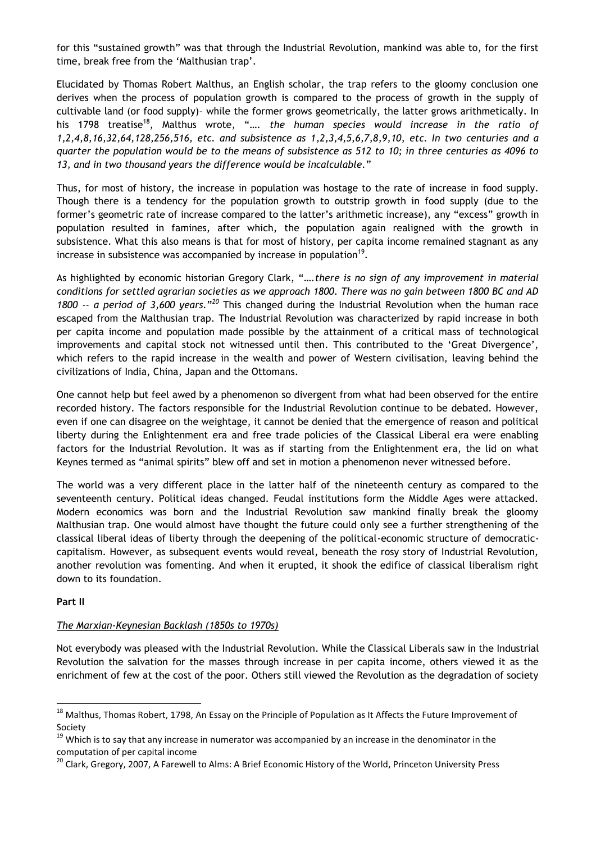for this "sustained growth" was that through the Industrial Revolution, mankind was able to, for the first time, break free from the 'Malthusian trap'.

Elucidated by Thomas Robert Malthus, an English scholar, the trap refers to the gloomy conclusion one derives when the process of population growth is compared to the process of growth in the supply of cultivable land (or food supply)– while the former grows geometrically, the latter grows arithmetically. In his 1798 treatise<sup>18</sup>, Malthus wrote, ".... the human species would increase in the ratio of *1,2,4,8,16,32,64,128,256,516, etc. and subsistence as 1,2,3,4,5,6,7,8,9,10, etc. In two centuries and a quarter the population would be to the means of subsistence as 512 to 10; in three centuries as 4096 to 13, and in two thousand years the difference would be incalculable.*"

Thus, for most of history, the increase in population was hostage to the rate of increase in food supply. Though there is a tendency for the population growth to outstrip growth in food supply (due to the former's geometric rate of increase compared to the latter's arithmetic increase), any "excess" growth in population resulted in famines, after which, the population again realigned with the growth in subsistence. What this also means is that for most of history, per capita income remained stagnant as any increase in subsistence was accompanied by increase in population<sup>19</sup>.

As highlighted by economic historian Gregory Clark, "*….there is no sign of any improvement in material conditions for settled agrarian societies as we approach 1800. There was no gain between 1800 BC and AD*  1800 -- a period of 3,600 years."<sup>20</sup> This changed during the Industrial Revolution when the human race escaped from the Malthusian trap. The Industrial Revolution was characterized by rapid increase in both per capita income and population made possible by the attainment of a critical mass of technological improvements and capital stock not witnessed until then. This contributed to the 'Great Divergence', which refers to the rapid increase in the wealth and power of Western civilisation, leaving behind the civilizations of India, China, Japan and the Ottomans.

One cannot help but feel awed by a phenomenon so divergent from what had been observed for the entire recorded history. The factors responsible for the Industrial Revolution continue to be debated. However, even if one can disagree on the weightage, it cannot be denied that the emergence of reason and political liberty during the Enlightenment era and free trade policies of the Classical Liberal era were enabling factors for the Industrial Revolution. It was as if starting from the Enlightenment era, the lid on what Keynes termed as "animal spirits" blew off and set in motion a phenomenon never witnessed before.

The world was a very different place in the latter half of the nineteenth century as compared to the seventeenth century. Political ideas changed. Feudal institutions form the Middle Ages were attacked. Modern economics was born and the Industrial Revolution saw mankind finally break the gloomy Malthusian trap. One would almost have thought the future could only see a further strengthening of the classical liberal ideas of liberty through the deepening of the political-economic structure of democraticcapitalism. However, as subsequent events would reveal, beneath the rosy story of Industrial Revolution, another revolution was fomenting. And when it erupted, it shook the edifice of classical liberalism right down to its foundation.

### **Part II**

 $\overline{a}$ 

### *The Marxian-Keynesian Backlash (1850s to 1970s)*

Not everybody was pleased with the Industrial Revolution. While the Classical Liberals saw in the Industrial Revolution the salvation for the masses through increase in per capita income, others viewed it as the enrichment of few at the cost of the poor. Others still viewed the Revolution as the degradation of society

<sup>&</sup>lt;sup>18</sup> Malthus, Thomas Robert, 1798, An Essay on the Principle of Population as It Affects the Future Improvement of Society

<sup>&</sup>lt;sup>19</sup> Which is to say that any increase in numerator was accompanied by an increase in the denominator in the computation of per capital income

<sup>&</sup>lt;sup>20</sup> Clark, Gregory, 2007, A Farewell to Alms: A Brief Economic History of the World, Princeton University Press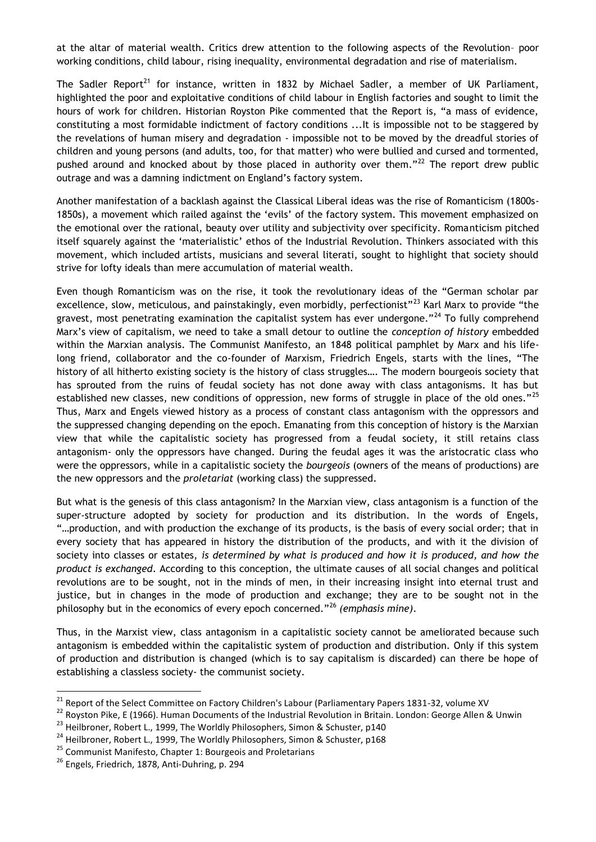at the altar of material wealth. Critics drew attention to the following aspects of the Revolution– poor working conditions, child labour, rising inequality, environmental degradation and rise of materialism.

The Sadler Report<sup>21</sup> for instance, written in 1832 by Michael Sadler, a member of UK Parliament, highlighted the poor and exploitative conditions of child labour in English factories and sought to limit the hours of work for children. Historian Royston Pike commented that the Report is, "a mass of evidence, constituting a most formidable indictment of factory conditions ...It is impossible not to be staggered by the revelations of human misery and degradation - impossible not to be moved by the dreadful stories of children and young persons (and adults, too, for that matter) who were bullied and cursed and tormented, pushed around and knocked about by those placed in authority over them."<sup>22</sup> The report drew public outrage and was a damning indictment on England's factory system.

Another manifestation of a backlash against the Classical Liberal ideas was the rise of Romanticism (1800s-1850s), a movement which railed against the 'evils' of the factory system. This movement emphasized on the emotional over the rational, beauty over utility and subjectivity over specificity. Romanticism pitched itself squarely against the 'materialistic' ethos of the Industrial Revolution. Thinkers associated with this movement, which included artists, musicians and several literati, sought to highlight that society should strive for lofty ideals than mere accumulation of material wealth.

Even though Romanticism was on the rise, it took the revolutionary ideas of the "German scholar par excellence, slow, meticulous, and painstakingly, even morbidly, perfectionist"<sup>23</sup> Karl Marx to provide "the gravest, most penetrating examination the capitalist system has ever undergone."<sup>24</sup> To fully comprehend Marx's view of capitalism, we need to take a small detour to outline the *conception of history* embedded within the Marxian analysis. The Communist Manifesto, an 1848 political pamphlet by Marx and his lifelong friend, collaborator and the co-founder of Marxism, Friedrich Engels, starts with the lines, "The history of all hitherto existing society is the history of class struggles…. The modern bourgeois society that has sprouted from the ruins of feudal society has not done away with class antagonisms. It has but established new classes, new conditions of oppression, new forms of struggle in place of the old ones."<sup>25</sup> Thus, Marx and Engels viewed history as a process of constant class antagonism with the oppressors and the suppressed changing depending on the epoch. Emanating from this conception of history is the Marxian view that while the capitalistic society has progressed from a feudal society, it still retains class antagonism- only the oppressors have changed. During the feudal ages it was the aristocratic class who were the oppressors, while in a capitalistic society the *bourgeois* (owners of the means of productions) are the new oppressors and the *proletariat* (working class) the suppressed.

But what is the genesis of this class antagonism? In the Marxian view, class antagonism is a function of the super-structure adopted by society for production and its distribution. In the words of Engels, "…production, and with production the exchange of its products, is the basis of every social order; that in every society that has appeared in history the distribution of the products, and with it the division of society into classes or estates, *is determined by what is produced and how it is produced, and how the product is exchanged*. According to this conception, the ultimate causes of all social changes and political revolutions are to be sought, not in the minds of men, in their increasing insight into eternal trust and justice, but in changes in the mode of production and exchange; they are to be sought not in the philosophy but in the economics of every epoch concerned."<sup>26</sup> *(emphasis mine)*.

Thus, in the Marxist view, class antagonism in a capitalistic society cannot be ameliorated because such antagonism is embedded within the capitalistic system of production and distribution. Only if this system of production and distribution is changed (which is to say capitalism is discarded) can there be hope of establishing a classless society- the communist society.

**.** 

<sup>&</sup>lt;sup>21</sup> Report of the Select Committee on Factory Children's Labour (Parliamentary Papers 1831-32, volume XV

<sup>&</sup>lt;sup>22</sup> Rovston Pike, E (1966). Human Documents of the Industrial Revolution in Britain. London: George Allen & Unwin

<sup>&</sup>lt;sup>23</sup> Heilbroner, Robert L., 1999, The Worldly Philosophers, Simon & Schuster, p140

<sup>&</sup>lt;sup>24</sup> Heilbroner, Robert L., 1999, The Worldly Philosophers, Simon & Schuster, p168

<sup>&</sup>lt;sup>25</sup> Communist Manifesto, Chapter 1: Bourgeois and Proletarians

 $^{26}$  Engels, Friedrich, 1878, Anti-Duhring, p. 294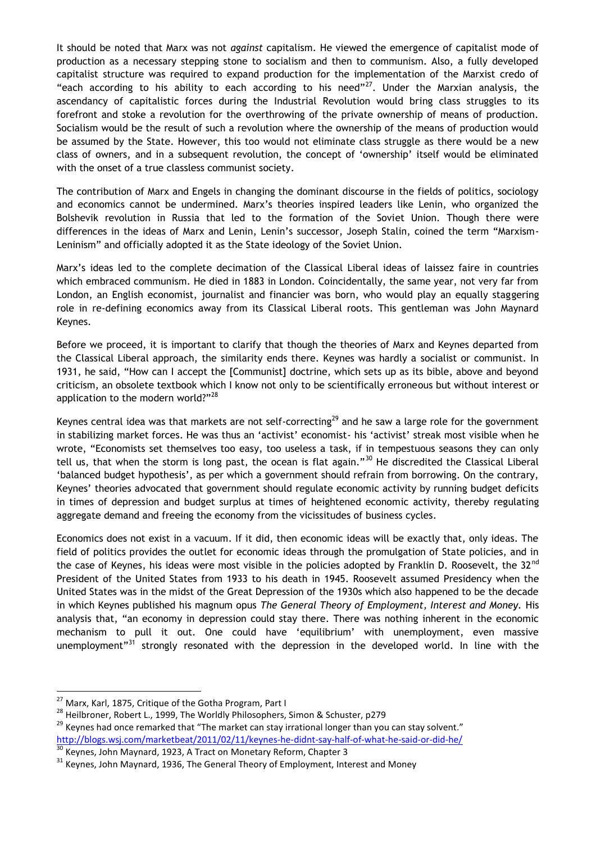It should be noted that Marx was not *against* capitalism. He viewed the emergence of capitalist mode of production as a necessary stepping stone to socialism and then to communism. Also, a fully developed capitalist structure was required to expand production for the implementation of the Marxist credo of "each according to his ability to each according to his need" $^{27}$ . Under the Marxian analysis, the ascendancy of capitalistic forces during the Industrial Revolution would bring class struggles to its forefront and stoke a revolution for the overthrowing of the private ownership of means of production. Socialism would be the result of such a revolution where the ownership of the means of production would be assumed by the State. However, this too would not eliminate class struggle as there would be a new class of owners, and in a subsequent revolution, the concept of 'ownership' itself would be eliminated with the onset of a true classless communist society.

The contribution of Marx and Engels in changing the dominant discourse in the fields of politics, sociology and economics cannot be undermined. Marx's theories inspired leaders like Lenin, who organized the Bolshevik revolution in Russia that led to the formation of the Soviet Union. Though there were differences in the ideas of Marx and Lenin, Lenin's successor, Joseph Stalin, coined the term "Marxism-Leninism" and officially adopted it as the State ideology of the Soviet Union.

Marx's ideas led to the complete decimation of the Classical Liberal ideas of laissez faire in countries which embraced communism. He died in 1883 in London. Coincidentally, the same year, not very far from London, an English economist, journalist and financier was born, who would play an equally staggering role in re-defining economics away from its Classical Liberal roots. This gentleman was John Maynard Keynes.

Before we proceed, it is important to clarify that though the theories of Marx and Keynes departed from the Classical Liberal approach, the similarity ends there. Keynes was hardly a socialist or communist. In 1931, he said, "How can I accept the [Communist] doctrine, which sets up as its bible, above and beyond criticism, an obsolete textbook which I know not only to be scientifically erroneous but without interest or application to the modern world?"<sup>28</sup>

Keynes central idea was that markets are not self-correcting<sup>29</sup> and he saw a large role for the government in stabilizing market forces. He was thus an 'activist' economist- his 'activist' streak most visible when he wrote, "Economists set themselves too easy, too useless a task, if in tempestuous seasons they can only tell us, that when the storm is long past, the ocean is flat again."<sup>30</sup> He discredited the Classical Liberal 'balanced budget hypothesis', as per which a government should refrain from borrowing. On the contrary, Keynes' theories advocated that government should regulate economic activity by running budget deficits in times of depression and budget surplus at times of heightened economic activity, thereby regulating aggregate demand and freeing the economy from the vicissitudes of business cycles.

Economics does not exist in a vacuum. If it did, then economic ideas will be exactly that, only ideas. The field of politics provides the outlet for economic ideas through the promulgation of State policies, and in the case of Keynes, his ideas were most visible in the policies adopted by Franklin D. Roosevelt, the 32<sup>nd</sup> President of the United States from 1933 to his death in 1945. Roosevelt assumed Presidency when the United States was in the midst of the Great Depression of the 1930s which also happened to be the decade in which Keynes published his magnum opus *The General Theory of Employment, Interest and Money.* His analysis that, "an economy in depression could stay there. There was nothing inherent in the economic mechanism to pull it out. One could have 'equilibrium' with unemployment, even massive unemployment"<sup>31</sup> strongly resonated with the depression in the developed world. In line with the

**.** 

<sup>&</sup>lt;sup>27</sup> Marx, Karl, 1875, Critique of the Gotha Program, Part I

<sup>&</sup>lt;sup>28</sup> Heilbroner, Robert L., 1999, The Worldly Philosophers, Simon & Schuster, p279

<sup>&</sup>lt;sup>29</sup> Keynes had once remarked that "The market can stay irrational longer than you can stay solvent." <http://blogs.wsj.com/marketbeat/2011/02/11/keynes-he-didnt-say-half-of-what-he-said-or-did-he/>

Keynes, John Maynard, 1923, A Tract on Monetary Reform, Chapter 3

<sup>&</sup>lt;sup>31</sup> Keynes, John Maynard, 1936, The General Theory of Employment, Interest and Money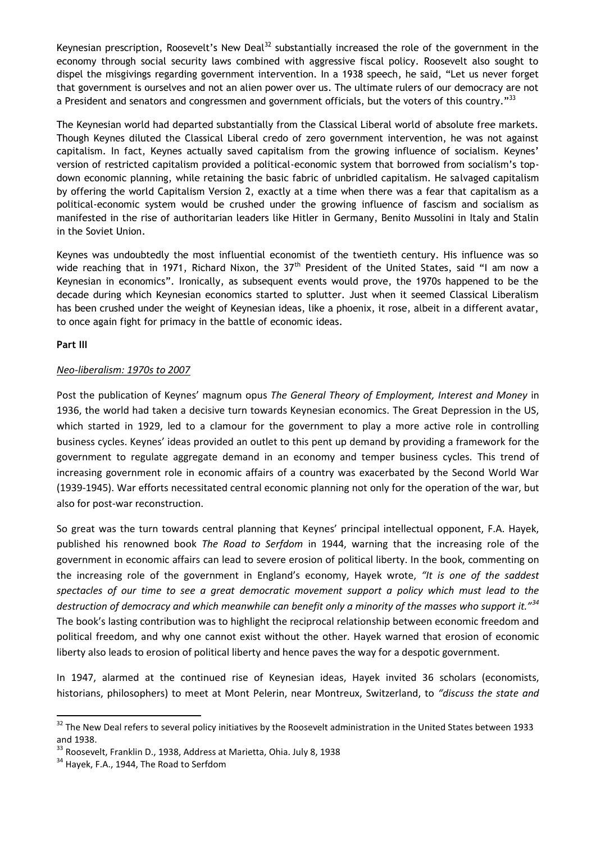Keynesian prescription, Roosevelt's New Deal<sup>32</sup> substantially increased the role of the government in the economy through social security laws combined with aggressive fiscal policy. Roosevelt also sought to dispel the misgivings regarding government intervention. In a 1938 speech, he said, "Let us never forget that government is ourselves and not an alien power over us. The ultimate rulers of our democracy are not a President and senators and congressmen and government officials, but the voters of this country."<sup>33</sup>

The Keynesian world had departed substantially from the Classical Liberal world of absolute free markets. Though Keynes diluted the Classical Liberal credo of zero government intervention, he was not against capitalism. In fact, Keynes actually saved capitalism from the growing influence of socialism. Keynes' version of restricted capitalism provided a political-economic system that borrowed from socialism's topdown economic planning, while retaining the basic fabric of unbridled capitalism. He salvaged capitalism by offering the world Capitalism Version 2, exactly at a time when there was a fear that capitalism as a political-economic system would be crushed under the growing influence of fascism and socialism as manifested in the rise of authoritarian leaders like Hitler in Germany, Benito Mussolini in Italy and Stalin in the Soviet Union.

Keynes was undoubtedly the most influential economist of the twentieth century. His influence was so wide reaching that in 1971, Richard Nixon, the 37<sup>th</sup> President of the United States, said "I am now a Keynesian in economics". Ironically, as subsequent events would prove, the 1970s happened to be the decade during which Keynesian economics started to splutter. Just when it seemed Classical Liberalism has been crushed under the weight of Keynesian ideas, like a phoenix, it rose, albeit in a different avatar, to once again fight for primacy in the battle of economic ideas.

### **Part III**

**.** 

# *Neo-liberalism: 1970s to 2007*

Post the publication of Keynes' magnum opus *The General Theory of Employment, Interest and Money* in 1936, the world had taken a decisive turn towards Keynesian economics. The Great Depression in the US, which started in 1929, led to a clamour for the government to play a more active role in controlling business cycles. Keynes' ideas provided an outlet to this pent up demand by providing a framework for the government to regulate aggregate demand in an economy and temper business cycles. This trend of increasing government role in economic affairs of a country was exacerbated by the Second World War (1939-1945). War efforts necessitated central economic planning not only for the operation of the war, but also for post-war reconstruction.

So great was the turn towards central planning that Keynes' principal intellectual opponent, F.A. Hayek, published his renowned book *The Road to Serfdom* in 1944, warning that the increasing role of the government in economic affairs can lead to severe erosion of political liberty. In the book, commenting on the increasing role of the government in England's economy, Hayek wrote, *"It is one of the saddest spectacles of our time to see a great democratic movement support a policy which must lead to the destruction of democracy and which meanwhile can benefit only a minority of the masses who support it."<sup>34</sup>* The book's lasting contribution was to highlight the reciprocal relationship between economic freedom and political freedom, and why one cannot exist without the other. Hayek warned that erosion of economic liberty also leads to erosion of political liberty and hence paves the way for a despotic government.

In 1947, alarmed at the continued rise of Keynesian ideas, Hayek invited 36 scholars (economists, historians, philosophers) to meet at Mont Pelerin, near Montreux, Switzerland, to *"discuss the state and* 

<sup>&</sup>lt;sup>32</sup> The New Deal refers to several policy initiatives by the Roosevelt administration in the United States between 1933 and 1938.

<sup>33</sup> Roosevelt, Franklin D., 1938, Address at Marietta, Ohia. July 8, 1938

 $34$  Hayek, F.A., 1944. The Road to Serfdom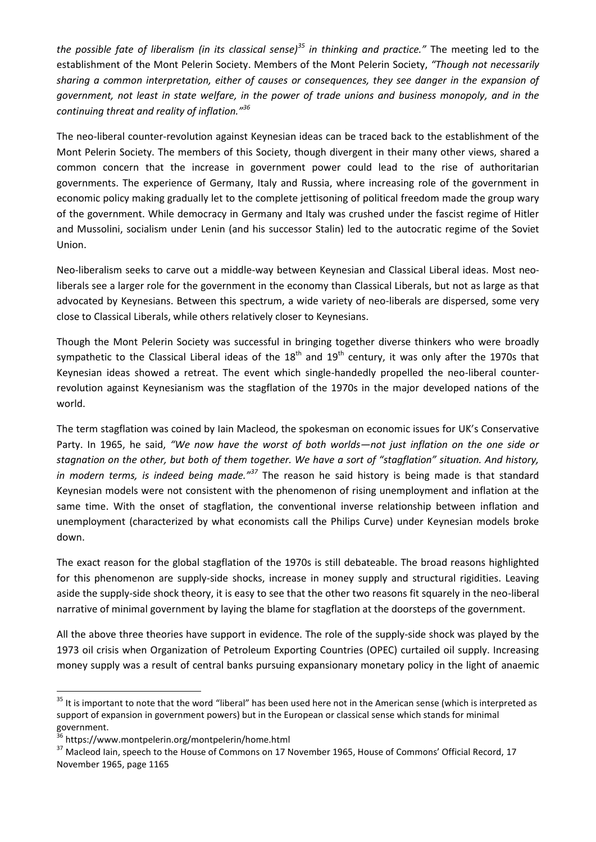*the possible fate of liberalism (in its classical sense)<sup>35</sup> in thinking and practice."* The meeting led to the establishment of the Mont Pelerin Society. Members of the Mont Pelerin Society, *"Though not necessarily sharing a common interpretation, either of causes or consequences, they see danger in the expansion of government, not least in state welfare, in the power of trade unions and business monopoly, and in the continuing threat and reality of inflation."<sup>36</sup>*

The neo-liberal counter-revolution against Keynesian ideas can be traced back to the establishment of the Mont Pelerin Society. The members of this Society, though divergent in their many other views, shared a common concern that the increase in government power could lead to the rise of authoritarian governments. The experience of Germany, Italy and Russia, where increasing role of the government in economic policy making gradually let to the complete jettisoning of political freedom made the group wary of the government. While democracy in Germany and Italy was crushed under the fascist regime of Hitler and Mussolini, socialism under Lenin (and his successor Stalin) led to the autocratic regime of the Soviet Union.

Neo-liberalism seeks to carve out a middle-way between Keynesian and Classical Liberal ideas. Most neoliberals see a larger role for the government in the economy than Classical Liberals, but not as large as that advocated by Keynesians. Between this spectrum, a wide variety of neo-liberals are dispersed, some very close to Classical Liberals, while others relatively closer to Keynesians.

Though the Mont Pelerin Society was successful in bringing together diverse thinkers who were broadly sympathetic to the Classical Liberal ideas of the  $18<sup>th</sup>$  and  $19<sup>th</sup>$  century, it was only after the 1970s that Keynesian ideas showed a retreat. The event which single-handedly propelled the neo-liberal counterrevolution against Keynesianism was the stagflation of the 1970s in the major developed nations of the world.

The term stagflation was coined by Iain Macleod, the spokesman on economic issues for UK's Conservative Party. In 1965, he said, *"We now have the worst of both worlds—not just inflation on the one side or stagnation on the other, but both of them together. We have a sort of "stagflation" situation. And history, in modern terms, is indeed being made."<sup>37</sup>* The reason he said history is being made is that standard Keynesian models were not consistent with the phenomenon of rising unemployment and inflation at the same time. With the onset of stagflation, the conventional inverse relationship between inflation and unemployment (characterized by what economists call the Philips Curve) under Keynesian models broke down.

The exact reason for the global stagflation of the 1970s is still debateable. The broad reasons highlighted for this phenomenon are supply-side shocks, increase in money supply and structural rigidities. Leaving aside the supply-side shock theory, it is easy to see that the other two reasons fit squarely in the neo-liberal narrative of minimal government by laying the blame for stagflation at the doorsteps of the government.

All the above three theories have support in evidence. The role of the supply-side shock was played by the 1973 oil crisis when Organization of Petroleum Exporting Countries (OPEC) curtailed oil supply. Increasing money supply was a result of central banks pursuing expansionary monetary policy in the light of anaemic

**.** 

 $35$  It is important to note that the word "liberal" has been used here not in the American sense (which is interpreted as support of expansion in government powers) but in the European or classical sense which stands for minimal government.

<sup>36</sup> https://www.montpelerin.org/montpelerin/home.html

<sup>&</sup>lt;sup>37</sup> Macleod Iain, speech to the House of Commons on 17 November 1965, House of Commons' Official Record, 17 November 1965, page 1165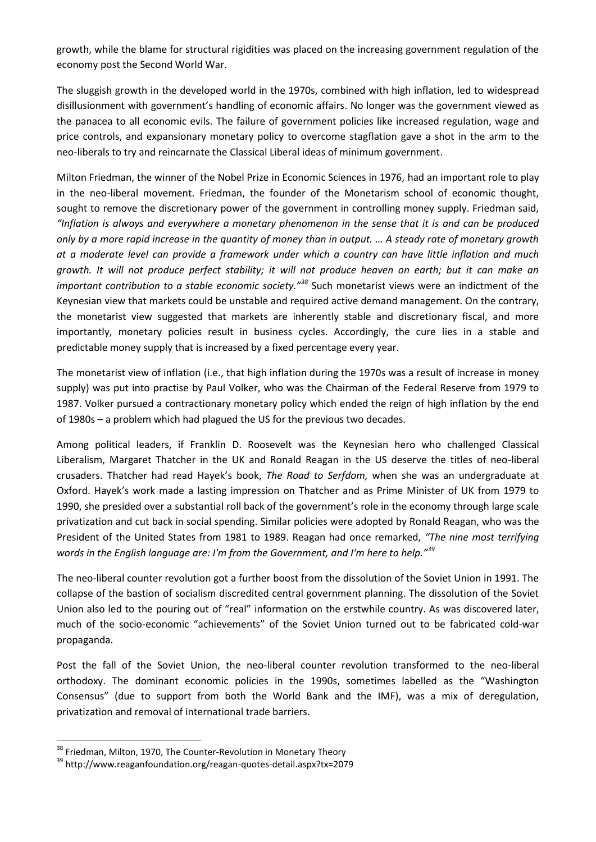growth, while the blame for structural rigidities was placed on the increasing government regulation of the economy post the Second World War.

The sluggish growth in the developed world in the 1970s, combined with high inflation, led to widespread disillusionment with government's handling of economic affairs. No longer was the government viewed as the panacea to all economic evils. The failure of government policies like increased regulation, wage and price controls, and expansionary monetary policy to overcome stagflation gave a shot in the arm to the neo-liberals to try and reincarnate the Classical Liberal ideas of minimum government.

Milton Friedman, the winner of the Nobel Prize in Economic Sciences in 1976, had an important role to play in the neo-liberal movement. Friedman, the founder of the Monetarism school of economic thought, sought to remove the discretionary power of the government in controlling money supply. Friedman said, *"Inflation is always and everywhere a monetary phenomenon in the sense that it is and can be produced only by a more rapid increase in the quantity of money than in output. … A steady rate of monetary growth at a moderate level can provide a framework under which a country can have little inflation and much growth. It will not produce perfect stability; it will not produce heaven on earth; but it can make an important contribution to a stable economic society."<sup>38</sup>* Such monetarist views were an indictment of the Keynesian view that markets could be unstable and required active demand management. On the contrary, the monetarist view suggested that markets are inherently stable and discretionary fiscal, and more importantly, monetary policies result in business cycles. Accordingly, the cure lies in a stable and predictable money supply that is increased by a fixed percentage every year.

The monetarist view of inflation (i.e., that high inflation during the 1970s was a result of increase in money supply) was put into practise by Paul Volker, who was the Chairman of the Federal Reserve from 1979 to 1987. Volker pursued a contractionary monetary policy which ended the reign of high inflation by the end of 1980s – a problem which had plagued the US for the previous two decades.

Among political leaders, if Franklin D. Roosevelt was the Keynesian hero who challenged Classical Liberalism, Margaret Thatcher in the UK and Ronald Reagan in the US deserve the titles of neo-liberal crusaders. Thatcher had read Hayek's book, *The Road to Serfdom,* when she was an undergraduate at Oxford. Hayek's work made a lasting impression on Thatcher and as Prime Minister of UK from 1979 to 1990, she presided over a substantial roll back of the government's role in the economy through large scale privatization and cut back in social spending. Similar policies were adopted by Ronald Reagan, who was the President of the United States from 1981 to 1989. Reagan had once remarked, *"The nine most terrifying words in the English language are: I'm from the Government, and I'm here to help."<sup>39</sup>*

The neo-liberal counter revolution got a further boost from the dissolution of the Soviet Union in 1991. The collapse of the bastion of socialism discredited central government planning. The dissolution of the Soviet Union also led to the pouring out of "real" information on the erstwhile country. As was discovered later, much of the socio-economic "achievements" of the Soviet Union turned out to be fabricated cold-war propaganda.

Post the fall of the Soviet Union, the neo-liberal counter revolution transformed to the neo-liberal orthodoxy. The dominant economic policies in the 1990s, sometimes labelled as the "Washington Consensus" (due to support from both the World Bank and the IMF), was a mix of deregulation, privatization and removal of international trade barriers.

1

<sup>&</sup>lt;sup>38</sup> Friedman, Milton, 1970, The Counter-Revolution in Monetary Theory

<sup>39</sup> http://www.reaganfoundation.org/reagan-quotes-detail.aspx?tx=2079